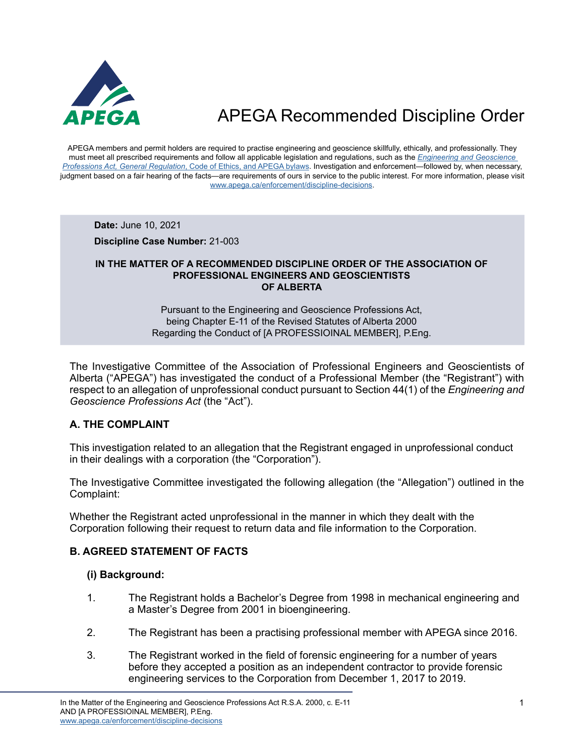

APEGA members and permit holders are required to practise engineering and geoscience skillfully, ethically, and professionally. They must meet all prescribed requirements and follow all applicable legislation and regulations, such as the *[Engineering and Geoscience](https://www.apega.ca/about-apega/publications/engineering-and-geoscience-professions-act)  Professions Act, General Regulation*[, Code of Ethics, and APEGA bylaws.](https://www.apega.ca/about-apega/publications/engineering-and-geoscience-professions-act) Investigation and enforcement—followed by, when necessary, judgment based on a fair hearing of the facts—are requirements of ours in service to the public interest. For more information, please visit [www.apega.ca/enforcement/discipline-decisions.](https://www.apega.ca/enforcement/discipline-decisions)

**Date:** June 10, 2021

**Discipline Case Number:** 21-003

#### **IN THE MATTER OF A RECOMMENDED DISCIPLINE ORDER OF THE ASSOCIATION OF PROFESSIONAL ENGINEERS AND GEOSCIENTISTS OF ALBERTA**

#### Pursuant to the Engineering and Geoscience Professions Act, being Chapter E-11 of the Revised Statutes of Alberta 2000 Regarding the Conduct of [A PROFESSIOINAL MEMBER], P.Eng.

The Investigative Committee of the Association of Professional Engineers and Geoscientists of Alberta ("APEGA") has investigated the conduct of a Professional Member (the "Registrant") with respect to an allegation of unprofessional conduct pursuant to Section 44(1) of the *Engineering and Geoscience Professions Act* (the "Act").

## **A. THE COMPLAINT**

This investigation related to an allegation that the Registrant engaged in unprofessional conduct in their dealings with a corporation (the "Corporation").

The Investigative Committee investigated the following allegation (the "Allegation") outlined in the Complaint:

Whether the Registrant acted unprofessional in the manner in which they dealt with the Corporation following their request to return data and file information to the Corporation.

### **B. AGREED STATEMENT OF FACTS**

#### **(i) Background:**

- 1. The Registrant holds a Bachelor's Degree from 1998 in mechanical engineering and a Master's Degree from 2001 in bioengineering.
- 2. The Registrant has been a practising professional member with APEGA since 2016.
- 3. The Registrant worked in the field of forensic engineering for a number of years before they accepted a position as an independent contractor to provide forensic engineering services to the Corporation from December 1, 2017 to 2019.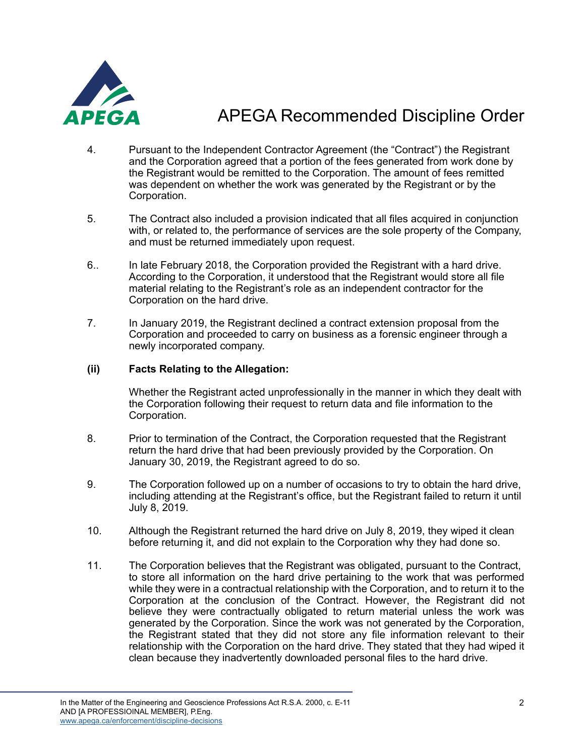

- 4. Pursuant to the Independent Contractor Agreement (the "Contract") the Registrant and the Corporation agreed that a portion of the fees generated from work done by the Registrant would be remitted to the Corporation. The amount of fees remitted was dependent on whether the work was generated by the Registrant or by the Corporation.
- 5. The Contract also included a provision indicated that all files acquired in conjunction with, or related to, the performance of services are the sole property of the Company, and must be returned immediately upon request.
- 6.. In late February 2018, the Corporation provided the Registrant with a hard drive. According to the Corporation, it understood that the Registrant would store all file material relating to the Registrant's role as an independent contractor for the Corporation on the hard drive.
- 7. In January 2019, the Registrant declined a contract extension proposal from the Corporation and proceeded to carry on business as a forensic engineer through a newly incorporated company.

### **(ii) Facts Relating to the Allegation:**

Whether the Registrant acted unprofessionally in the manner in which they dealt with the Corporation following their request to return data and file information to the Corporation.

- 8. Prior to termination of the Contract, the Corporation requested that the Registrant return the hard drive that had been previously provided by the Corporation. On January 30, 2019, the Registrant agreed to do so.
- 9. The Corporation followed up on a number of occasions to try to obtain the hard drive, including attending at the Registrant's office, but the Registrant failed to return it until July 8, 2019.
- 10. Although the Registrant returned the hard drive on July 8, 2019, they wiped it clean before returning it, and did not explain to the Corporation why they had done so.
- 11. The Corporation believes that the Registrant was obligated, pursuant to the Contract, to store all information on the hard drive pertaining to the work that was performed while they were in a contractual relationship with the Corporation, and to return it to the Corporation at the conclusion of the Contract. However, the Registrant did not believe they were contractually obligated to return material unless the work was generated by the Corporation. Since the work was not generated by the Corporation, the Registrant stated that they did not store any file information relevant to their relationship with the Corporation on the hard drive. They stated that they had wiped it clean because they inadvertently downloaded personal files to the hard drive.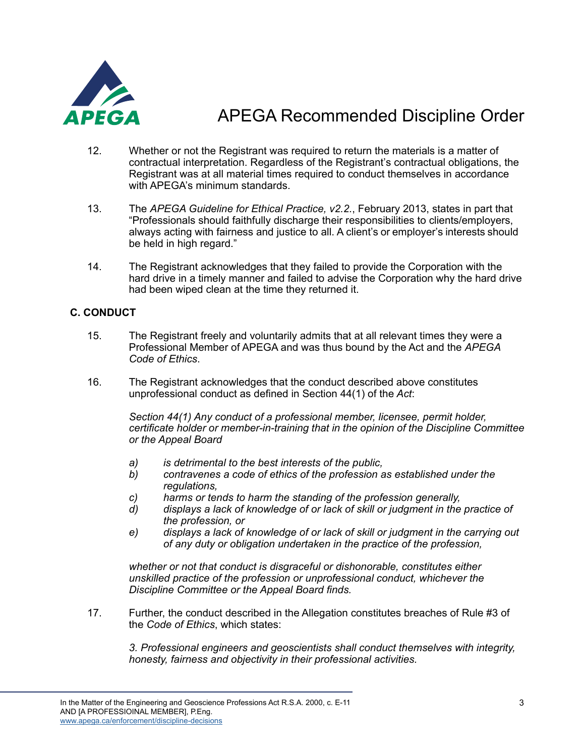

- 12. Whether or not the Registrant was required to return the materials is a matter of contractual interpretation. Regardless of the Registrant's contractual obligations, the Registrant was at all material times required to conduct themselves in accordance with APEGA's minimum standards.
- 13. The *APEGA Guideline for Ethical Practice, v2.2.*, February 2013, states in part that "Professionals should faithfully discharge their responsibilities to clients/employers, always acting with fairness and justice to all. A client's or employer's interests should be held in high regard."
- 14. The Registrant acknowledges that they failed to provide the Corporation with the hard drive in a timely manner and failed to advise the Corporation why the hard drive had been wiped clean at the time they returned it.

## **C. CONDUCT**

- 15. The Registrant freely and voluntarily admits that at all relevant times they were a Professional Member of APEGA and was thus bound by the Act and the *APEGA Code of Ethics*.
- 16. The Registrant acknowledges that the conduct described above constitutes unprofessional conduct as defined in Section 44(1) of the *Act*:

*Section 44(1) Any conduct of a professional member, licensee, permit holder, certificate holder or member-in-training that in the opinion of the Discipline Committee or the Appeal Board*

- *a) is detrimental to the best interests of the public,*
- *b) contravenes a code of ethics of the profession as established under the regulations,*
- *c) harms or tends to harm the standing of the profession generally,*
- *d) displays a lack of knowledge of or lack of skill or judgment in the practice of the profession, or*
- *e) displays a lack of knowledge of or lack of skill or judgment in the carrying out of any duty or obligation undertaken in the practice of the profession,*

*whether or not that conduct is disgraceful or dishonorable, constitutes either unskilled practice of the profession or unprofessional conduct, whichever the Discipline Committee or the Appeal Board finds.*

17. Further, the conduct described in the Allegation constitutes breaches of Rule #3 of the *Code of Ethics*, which states:

*3. Professional engineers and geoscientists shall conduct themselves with integrity, honesty, fairness and objectivity in their professional activities.*